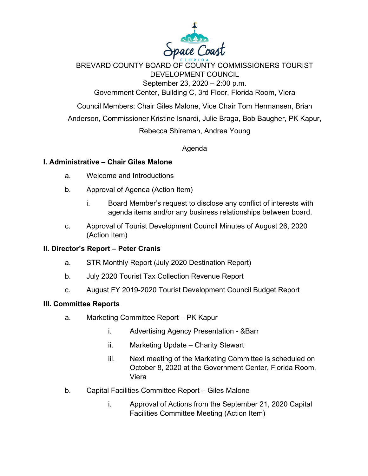

BREVARD COUNTY BOARD OF COUNTY COMMISSIONERS TOURIST DEVELOPMENT COUNCIL September 23, 2020 – 2:00 p.m.

Government Center, Building C, 3rd Floor, Florida Room, Viera

Council Members: Chair Giles Malone, Vice Chair Tom Hermansen, Brian

Anderson, Commissioner Kristine Isnardi, Julie Braga, Bob Baugher, PK Kapur,

Rebecca Shireman, Andrea Young

Agenda

## **I. Administrative – Chair Giles Malone**

- a. Welcome and Introductions
- b. Approval of Agenda (Action Item)
	- i. Board Member's request to disclose any conflict of interests with agenda items and/or any business relationships between board.
- c. Approval of Tourist Development Council Minutes of August 26, 2020 (Action Item)

## **II. Director's Report – Peter Cranis**

- a. STR Monthly Report (July 2020 Destination Report)
- b. July 2020 Tourist Tax Collection Revenue Report
- c. August FY 2019-2020 Tourist Development Council Budget Report

## **III. Committee Reports**

- a. Marketing Committee Report PK Kapur
	- i. Advertising Agency Presentation &Barr
	- ii. Marketing Update Charity Stewart
	- iii. Next meeting of the Marketing Committee is scheduled on October 8, 2020 at the Government Center, Florida Room, Viera
- b. Capital Facilities Committee Report Giles Malone
	- i. Approval of Actions from the September 21, 2020 Capital Facilities Committee Meeting (Action Item)